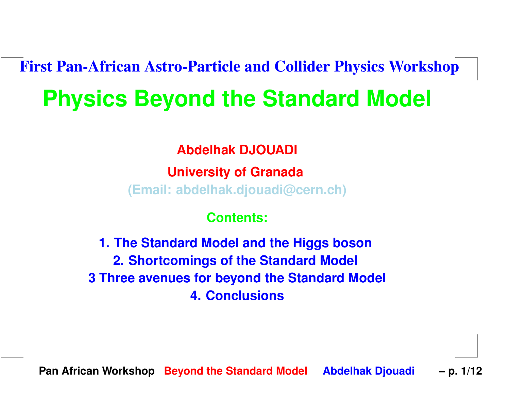# First Pan-African Astro-Particle and Collider Physics Workshop**Physics Beyond the Standard Model**

**Abdelhak DJOUADI**

**University of Granada(Email: abdelhak.djouadi@cern.ch)**

**Contents:**

**1. The Standard Model and the Higgs boson2. Shortcomings of the Standard Model 3 Three avenues for beyond the Standard Model 4. Conclusions**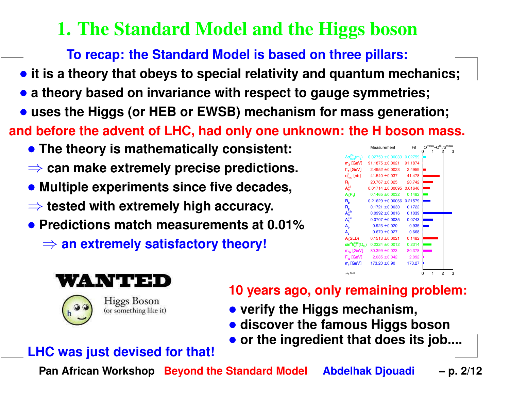# 1. The Standard Model and the Higgs boson

**To recap: the Standard Model is based on three pillars:**

- $\bullet$  it is a theory that obeys to special relativity and quantum mechanics;
- **<sup>a</sup> theory based on invariance with respect to gauge symmetries;**
- **uses the Higgs (or HEB or EWSB) mechanism for mass generation;**

and before the advent of LHC, had only one unknown: the H boson mass.

- **The theory is mathematically consistent:**
- ⇒ **can make extremely precise predictions.**
- **Multiple experiments since five decades,**
- ⇒ **tested with extremely high accuracy.**
- **Predictions match measurements at 0.01%**
	- ⇒ **an extremely satisfactory theory!**







**Higgs Boson** (or something like it)

#### **10 years ago, only remaining problem:**

- **verify the Higgs mechanism,**
- **discover the famous Higgs boson**
- **or the ingredient that does its job....**

#### **LHC was just devised for that!**

**Pan African Workshop Beyond the Standard Model Abdelhak Djouadi – p. 2/12**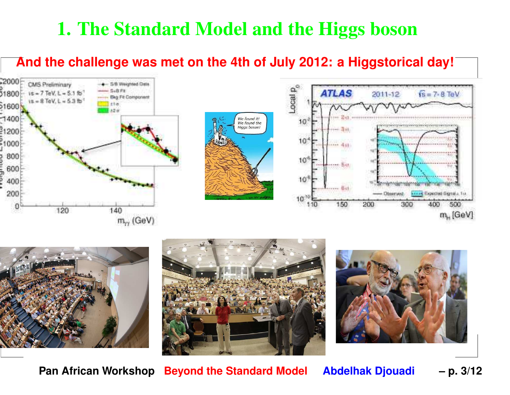# 1. The Standard Model and the Higgs boson

#### And the challenge was met on the 4th of July 2012: a Higgstorical day!













**Pan African Workshop Beyond the Standard Model Abdelhak Djouadi – p. 3/12**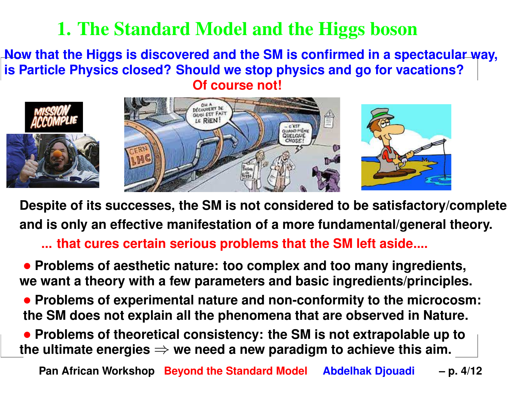### 1. The Standard Model and the Higgs boson

#### Now that the Higgs is discovered and the SM is confirmed in a spectacular way, is Particle Physics closed? Should we stop physics and go for vacations? **Of course not!**



Despite of its successes, the SM is not considered to be satisfactory/complete **and is only an effective manifestation of <sup>a</sup> more fundamental/general theory.**

**... that cures certain serious problems that the SM left aside....**

• **Problems of aesthetic nature: too complex and too many ingredients, we want <sup>a</sup> theory with <sup>a</sup> few parameters and basic ingredients/principles.**

• **Problems of experimental nature and non-conformity to the microcosm:** the SM does not explain all the phenomena that are observed in Nature.

• **Problems of theoretical consistency: the SM is not extrapolable up tothe ultimate energies**⇒ **we need <sup>a</sup> new paradigm to achieve this aim.**

**Pan African Workshop Beyond the Standard Model Abdelhak Djouadi – p. 4/12**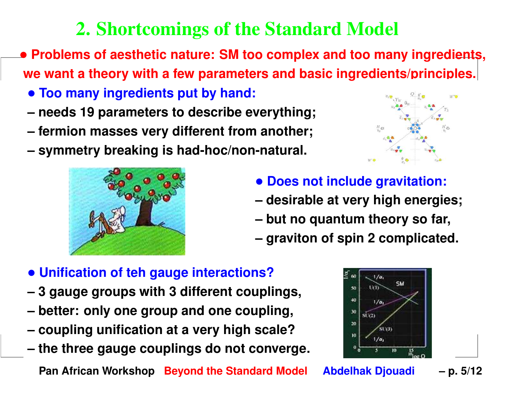# 2. Shortcomings of the Standard Model

• **Problems of aesthetic nature: SM too complex and too many ingredients, we want <sup>a</sup> theory with <sup>a</sup> few parameters and basic ingredients/principles.**

- **Too many ingredients put by hand:**
- **– needs 19 parameters to describe everything;**
- **– fermion masses very different from another;**
- **– symmetry breaking is had-hoc/non-natural.**





- **Does not include gravitation:**
- **– desirable at very high energies;**
- **– but no quantum theory so far,**
- **– graviton of spin 2 complicated.**

### • **Unification of teh gauge interactions?**

- **3 gauge groups with 3 different couplings,**
- **– better: only one group and one coupling,**
- **– coupling unification at <sup>a</sup> very high scale?**
- **the three gauge couplings do not converge.**

**Pan African Workshop Beyond the Standard Model Abdelhak Djouadi – p. 5/12**

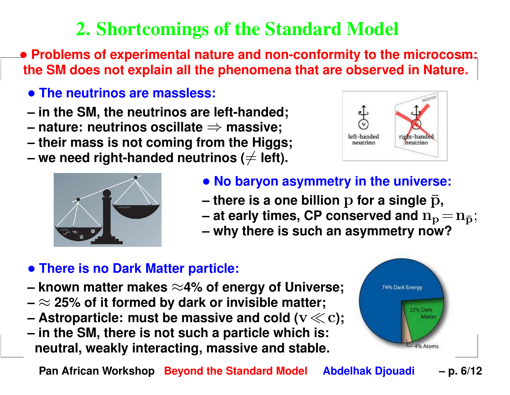# 2. Shortcomings of the Standard Model

• **Problems of experimental nature and non-conformity to the microcosm:** the SM does not explain all the phenomena that are observed in Nature.

- **The neutrinos are massless:**
- **– in the SM, the neutrinos are left-handed;**
- **– nature: neutrinos oscillate**⇒
- nature: neutrinos oscillate ⇒ massive;<br>– their mass is not coming from the Higg  **their mass is not coming from the Higgs;**
- **– we need right-handed neutrinos (** $\neq$  **left).**





- **No baryon asymmetry in the universe:**
	- **–there** is a one billion  $p$  for a single  $\bar{p}$ ,<br> **ot** each times. CB conserved and  $p$
	- at Aariv fimae, L'P c  **at early times, CP conserved and**  $\mathbf{n}_{\mathbf{p}} = \mathbf{n}_{\bar{\mathbf{p}}};$
- Why there is such an asymmetry now  **why there is such an asymmetry now?**

#### • **There is no Dark Matter particle:**

- **– known matter makes**<sup>≈</sup>**4% of energy of Universe;**
- **–**≈ **25% of it formed by dark or invisible matter;**
- **– Astroparticle: must be massive and cold (**v≪c**);**
- l, <u>– III LIIG JIVI, LIIGIG IS TIVL SUCIT A PALLICIG WITICIT</u>  **in the SM, there is not such <sup>a</sup> particle which is:neutral, weakly interacting, massive and stable.**



**Pan African Workshop Beyond the Standard Model Abdelhak Djouadi – p. 6/12**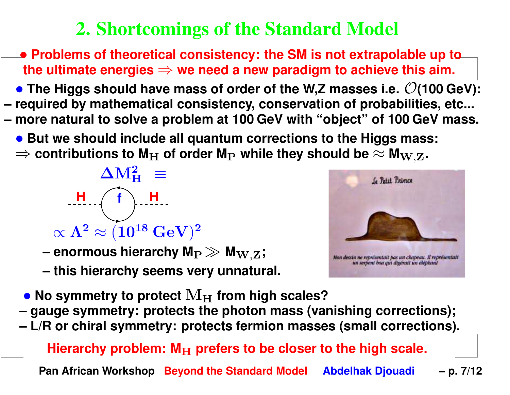# 2. Shortcomings of the Standard Model

- **Problems of theoretical consistency: the SM is not extrapolable up tothe ultimate energies**⇒ **we need <sup>a</sup> new paradigm to achieve this aim.**
- The Higgs should have mass of order of the W,Z masses i.e.  $\mathcal{O}(100 \text{ GeV})$ : **– required by mathematical consistency, conservation of probabilities, etc...** more natural to solve a problem at 100 GeV with "object" of 100 GeV mass.
	- **But we should include all quantum corrections to the Higgs mass:** ⇒ contributions to M<sub>H</sub> of order M<sub>P</sub> while they should be  $\approx$  M<sub>W,Z</sub>.



- **– enormous hierarchy M**P≫**M**<sup>W</sup>,Z**;**
- <u>– this hierarchy seems very II</u>  **this hierarchy seems very unnatural.**



- $\bullet$  No symmetry to protect  $\mathbf{M_H}$  from high scales?<br>- gauge symmetry: protects the photon mass (vai
- **– gauge symmetry: protects the photon mass (vanishing corrections);**
- **– L/R or chiral symmetry: protects fermion masses (small corrections).**

**Hierarchy problem: M**H **prefers to be closer to the high scale.**

**Pan African Workshop Beyond the Standard Model Abdelhak Djouadi – p. 7/12**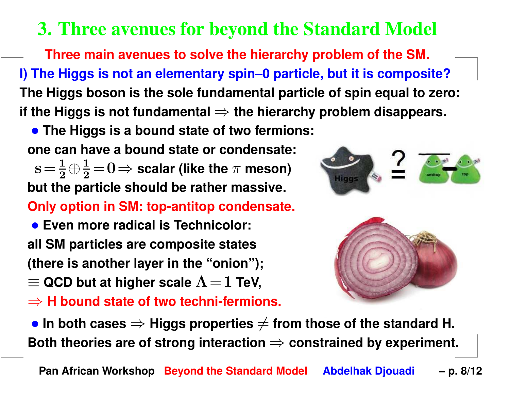# 3. Three avenues for beyond the Standard Model

**Three main avenues to solve the hierarchy problem of the SM.** I) The Higgs is not an elementary spin-0 particle, but it is composite? The Higgs boson is the sole fundamental particle of spin equal to zero: **if the Higgs is not fundamental** ⇒ **the hierarchy problem disappears.**

• **The Higgs is <sup>a</sup> bound state of two fermions:**

**one can have <sup>a</sup> bound state or condensate:**

 $s=\frac{1}{s}$  **but the particle should be rather massive.**  $\frac{1}{2} \oplus \frac{1}{2}$  $\frac{1}{2}$   $=$   $0$   $\Rightarrow$  scalar (like the  $\pi$  meson)<br>article should be rather massive **Only option in SM: top-antitop condensate.**

• **Even more radical is Technicolor: all SM particles are composite states(there is another layer in the "onion");** $\equiv$  QCD but at higher scale  $\Lambda$  = 1 TeV,

⇒ **<sup>H</sup> bound state of two techni-fermions.**





 $\bullet$  In both cases  $\Rightarrow$  Higgs properties  $\neq$  from those of the standard H.<br>Roth theories are of strong interaction  $\rightarrow$  constrained by experiment **Both theories are of strong interaction ⇒ constrained by experiment.<br>-**

**Pan African Workshop Beyond the Standard Model Abdelhak Djouadi – p. 8/12**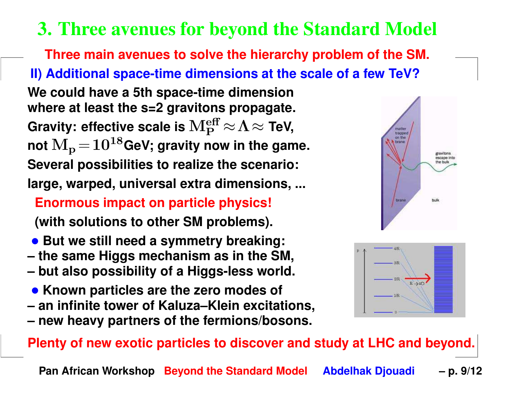### 3. Three avenues for beyond the Standard Model

**Three main avenues to solve the hierarchy problem of the SM. II) Additional space-time dimensions at the scale of <sup>a</sup> few TeV?We could have <sup>a</sup> 5th space-time dimension where at least the s=2 gravitons propagate. Gravity: effective scale is**Meff P≈Λ≈ **TeV,**  $\mathbf{M_{p}}\!=\!10^{18}$ GeV; gravity now in the game. **Several possibilities to realize the scenario:large, warped, universal extra dimensions, ...**

#### **Enormous impact on particle physics!**

**(with solutions to other SM problems).**

- **But we still need <sup>a</sup> symmetry breaking:**
- **– the same Higgs mechanism as in the SM,**
- **– but also possibility of <sup>a</sup> Higgs-less world.**
- **Known particles are the zero modes of**
- **– an infinite tower of Kaluza–Klein excitations,**
- **new heavy partners of the fermions/bosons.**

#### Plenty of new exotic particles to discover and study at LHC and beyond.

**Pan African Workshop Beyond the Standard Model Abdelhak Djouadi – p. 9/12**



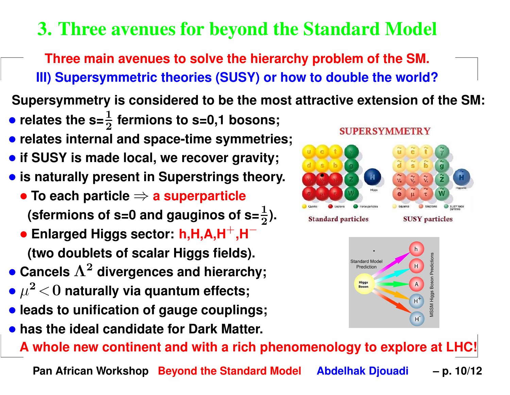# 3. Three avenues for beyond the Standard Model

**Three main avenues to solve the hierarchy problem of the SM. III) Supersymmetric theories (SUSY) or how to double the world?**

Supersymmetry is considered to be the most attractive extension of the SM:

- relates the  $s=\frac{1}{2}$  2**fermions to s=0,1 bosons;**
- **relates internal and space-time symmetries;**
- **if SUSY is made local, we recover gravity;**
- **is naturally present in Superstrings theory.**
	- **To each particle** ⇒ **<sup>a</sup> superparticle** (sfermions of s=0 and gauginos of s= $\frac{1}{2}$  $\frac{1}{2}$ ).
	- **Enlarged Higgs sector: h,H,A,H**+**,H**−**(two doublets of scalar Higgs fields).**
- **Cancels** Λ2 **divergences and hierarchy;**
- $\bullet~\mu$ −  $<$  ∪ n 2 $2 < 0$  naturally via quantum effects;
- **leads to unification of gauge couplings;**
- **has the ideal candidate for Dark Matter.**

A whole new continent and with a rich phenomenology to explore at LHC!

**Pan African Workshop Beyond the Standard Model Abdelhak Djouadi – p. 10/12**



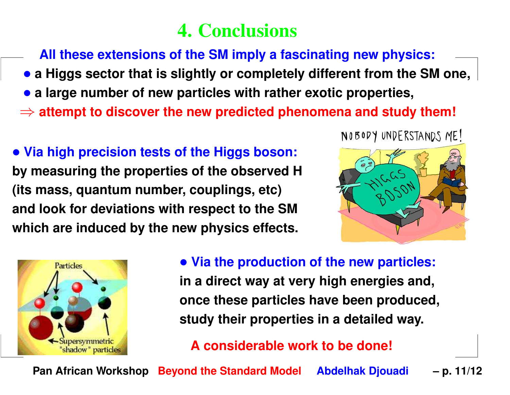# 4. Conclusions

**All these extensions of the SM imply <sup>a</sup> fascinating new physics:**

- a Higgs sector that is slightly or completely different from the SM one,
- **<sup>a</sup> large number of new particles with rather exotic properties,**
- ⇒ **attempt to discover the new predicted phenomena and study them!**

• **Via high precision tests of the Higgs boson: by measuring the properties of the observed H(its mass, quantum number, couplings, etc)and look for deviations with respect to the SMwhich are induced by the new physics effects.**





• **Via the production of the new particles: in <sup>a</sup> direct way at very high energies and, once these particles have been produced,**

**study their properties in <sup>a</sup> detailed way.**

**A considerable work to be done!**

**Pan African Workshop Beyond the Standard Model Abdelhak Djouadi – p. 11/12**